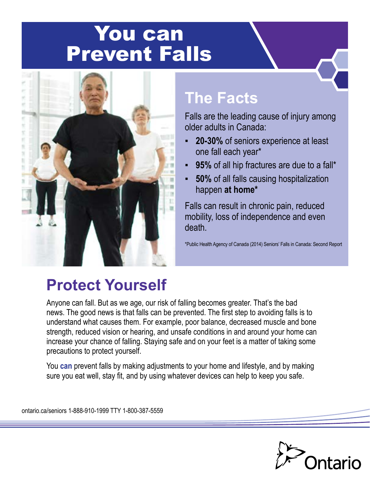# You can Prevent Falls



## **The Facts**

Falls are the leading cause of injury among older adults in Canada:

- **20-30%** of seniors experience at least one fall each year\*
- 95% of all hip fractures are due to a fall\*
- **50%** of all falls causing hospitalization happen **at home\***

Falls can result in chronic pain, reduced mobility, loss of independence and even death.

\*Public Health Agency of Canada (2014) Seniors' Falls in Canada: Second Report

## **Protect Yourself**

Anyone can fall. But as we age, our risk of falling becomes greater. That's the bad news. The good news is that falls can be prevented. The first step to avoiding falls is to understand what causes them. For example, poor balance, decreased muscle and bone strength, reduced vision or hearing, and unsafe conditions in and around your home can increase your chance of falling. Staying safe and on your feet is a matter of taking some precautions to protect yourself.

You **can** prevent falls by making adjustments to your home and lifestyle, and by making sure you eat well, stay fit, and by using whatever devices can help to keep you safe.

ontario.ca/seniors 1-888-910-1999 TTY 1-800-387-5559

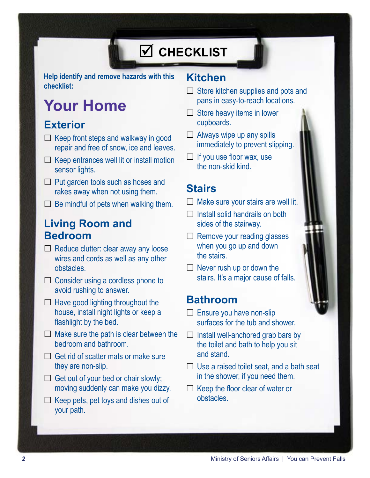## **Z** CHECKLIST

**Help identify and remove hazards with this checklist:**

## **Your Home**

### **Exterior**

- $\Box$  Keep front steps and walkway in good repair and free of snow, ice and leaves.
- $\Box$  Keep entrances well lit or install motion sensor lights.
- $\Box$  Put garden tools such as hoses and rakes away when not using them.
- $\Box$  Be mindful of pets when walking them.

#### **Living Room and Bedroom**

- $\Box$  Reduce clutter: clear away any loose wires and cords as well as any other obstacles.
- $\Box$  Consider using a cordless phone to avoid rushing to answer.
- $\Box$  Have good lighting throughout the house, install night lights or keep a flashlight by the bed.
- $\Box$  Make sure the path is clear between the bedroom and bathroom.
- $\Box$  Get rid of scatter mats or make sure they are non-slip.
- $\Box$  Get out of your bed or chair slowly; moving suddenly can make you dizzy.
- $\Box$  Keep pets, pet toys and dishes out of your path.

#### **Kitchen**

- $\Box$  Store kitchen supplies and pots and pans in easy-to-reach locations.
- $\Box$  Store heavy items in lower cupboards.
- $\Box$  Always wipe up any spills immediately to prevent slipping.
- $\Box$  If you use floor wax, use the non-skid kind.

#### **Stairs**

- $\Box$  Make sure your stairs are well lit.
- $\Box$  Install solid handrails on both sides of the stairway.
- $\Box$  Remove your reading glasses when you go up and down the stairs.
- $\Box$  Never rush up or down the stairs. It's a major cause of falls.

#### **Bathroom**

- $\Box$  Ensure you have non-slip surfaces for the tub and shower.
- $\Box$  Install well-anchored grab bars by the toilet and bath to help you sit and stand.
- $\Box$  Use a raised toilet seat, and a bath seat in the shower, if you need them.
- $\Box$  Keep the floor clear of water or obstacles.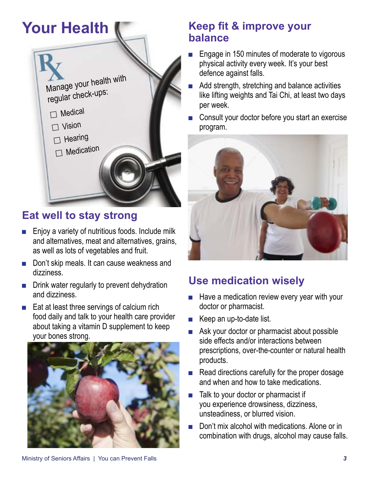# **Your Health**



### **Eat well to stay strong**

- Enjoy a variety of nutritious foods. Include milk and alternatives, meat and alternatives, grains, as well as lots of vegetables and fruit.
- Don't skip meals. It can cause weakness and dizziness.
- Drink water regularly to prevent dehydration and dizziness.
- Eat at least three servings of calcium rich food daily and talk to your health care provider about taking a vitamin D supplement to keep your bones strong.



### **Keep fit & improve your balance**

- Engage in 150 minutes of moderate to vigorous physical activity every week. It's your best defence against falls.
- Add strength, stretching and balance activities like lifting weights and Tai Chi, at least two days per week.
- Consult your doctor before you start an exercise program.



### **Use medication wisely**

- Have a medication review every year with your doctor or pharmacist.
- Keep an up-to-date list.
- Ask your doctor or pharmacist about possible side effects and/or interactions between prescriptions, over-the-counter or natural health products.
- Read directions carefully for the proper dosage and when and how to take medications.
- Talk to your doctor or pharmacist if you experience drowsiness, dizziness, unsteadiness, or blurred vision.
- Don't mix alcohol with medications. Alone or in combination with drugs, alcohol may cause falls.